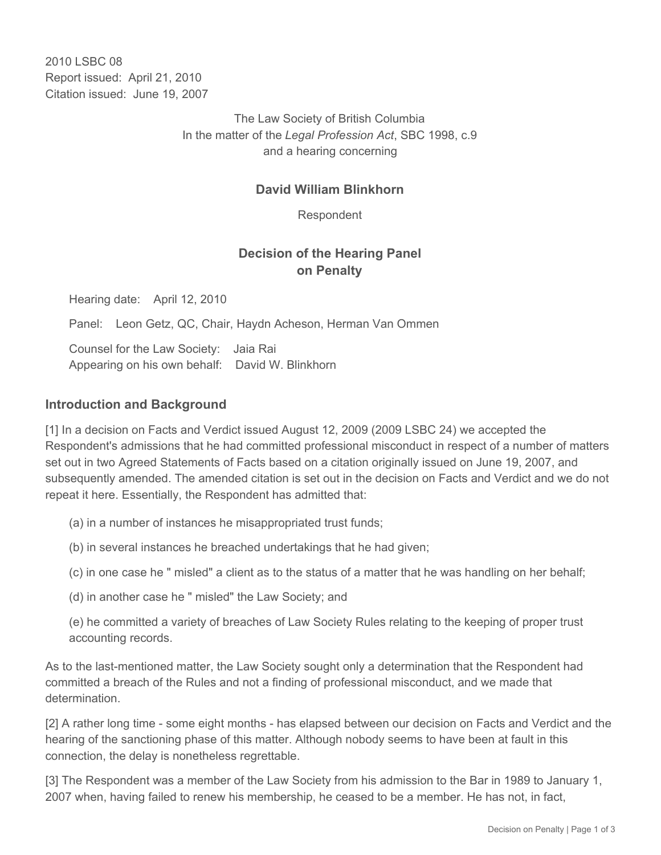2010 LSBC 08 Report issued: April 21, 2010 Citation issued: June 19, 2007

> The Law Society of British Columbia In the matter of the *Legal Profession Act*, SBC 1998, c.9 and a hearing concerning

### **David William Blinkhorn**

Respondent

# **Decision of the Hearing Panel on Penalty**

Hearing date: April 12, 2010

Panel: Leon Getz, QC, Chair, Haydn Acheson, Herman Van Ommen

Counsel for the Law Society: Jaia Rai Appearing on his own behalf: David W. Blinkhorn

#### **Introduction and Background**

[1] In a decision on Facts and Verdict issued August 12, 2009 (2009 LSBC 24) we accepted the Respondent's admissions that he had committed professional misconduct in respect of a number of matters set out in two Agreed Statements of Facts based on a citation originally issued on June 19, 2007, and subsequently amended. The amended citation is set out in the decision on Facts and Verdict and we do not repeat it here. Essentially, the Respondent has admitted that:

(a) in a number of instances he misappropriated trust funds;

(b) in several instances he breached undertakings that he had given;

(c) in one case he " misled" a client as to the status of a matter that he was handling on her behalf;

(d) in another case he " misled" the Law Society; and

(e) he committed a variety of breaches of Law Society Rules relating to the keeping of proper trust accounting records.

As to the last-mentioned matter, the Law Society sought only a determination that the Respondent had committed a breach of the Rules and not a finding of professional misconduct, and we made that determination.

[2] A rather long time - some eight months - has elapsed between our decision on Facts and Verdict and the hearing of the sanctioning phase of this matter. Although nobody seems to have been at fault in this connection, the delay is nonetheless regrettable.

[3] The Respondent was a member of the Law Society from his admission to the Bar in 1989 to January 1, 2007 when, having failed to renew his membership, he ceased to be a member. He has not, in fact,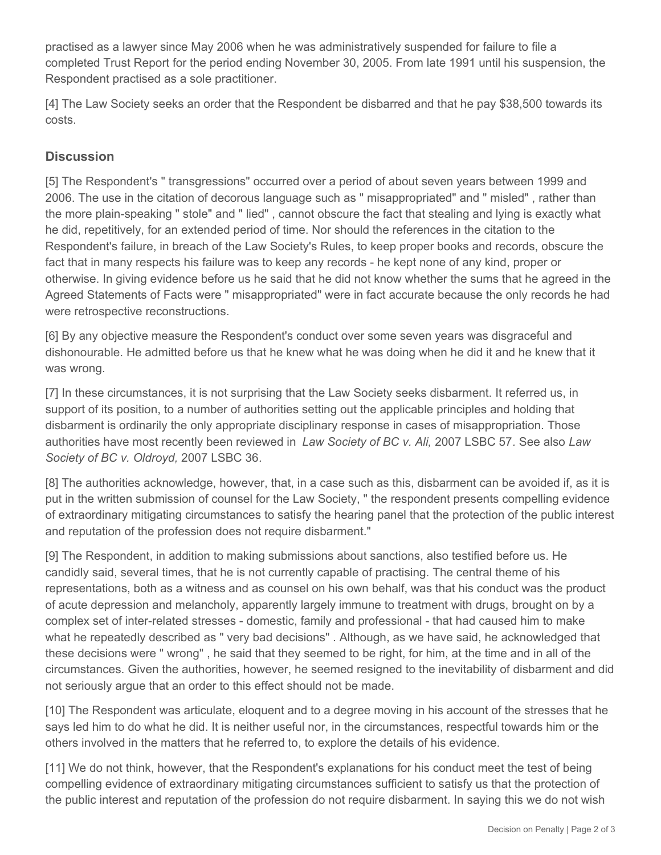practised as a lawyer since May 2006 when he was administratively suspended for failure to file a completed Trust Report for the period ending November 30, 2005. From late 1991 until his suspension, the Respondent practised as a sole practitioner.

[4] The Law Society seeks an order that the Respondent be disbarred and that he pay \$38,500 towards its costs.

# **Discussion**

[5] The Respondent's " transgressions" occurred over a period of about seven years between 1999 and 2006. The use in the citation of decorous language such as " misappropriated" and " misled" , rather than the more plain-speaking " stole" and " lied" , cannot obscure the fact that stealing and lying is exactly what he did, repetitively, for an extended period of time. Nor should the references in the citation to the Respondent's failure, in breach of the Law Society's Rules, to keep proper books and records, obscure the fact that in many respects his failure was to keep any records - he kept none of any kind, proper or otherwise. In giving evidence before us he said that he did not know whether the sums that he agreed in the Agreed Statements of Facts were " misappropriated" were in fact accurate because the only records he had were retrospective reconstructions.

[6] By any objective measure the Respondent's conduct over some seven years was disgraceful and dishonourable. He admitted before us that he knew what he was doing when he did it and he knew that it was wrong.

[7] In these circumstances, it is not surprising that the Law Society seeks disbarment. It referred us, in support of its position, to a number of authorities setting out the applicable principles and holding that disbarment is ordinarily the only appropriate disciplinary response in cases of misappropriation. Those authorities have most recently been reviewed in *Law Society of BC v. Ali,* 2007 LSBC 57*.* See also *Law Society of BC v. Oldroyd,* 2007 LSBC 36*.*

[8] The authorities acknowledge, however, that, in a case such as this, disbarment can be avoided if, as it is put in the written submission of counsel for the Law Society, " the respondent presents compelling evidence of extraordinary mitigating circumstances to satisfy the hearing panel that the protection of the public interest and reputation of the profession does not require disbarment."

[9] The Respondent, in addition to making submissions about sanctions, also testified before us. He candidly said, several times, that he is not currently capable of practising. The central theme of his representations, both as a witness and as counsel on his own behalf, was that his conduct was the product of acute depression and melancholy, apparently largely immune to treatment with drugs, brought on by a complex set of inter-related stresses - domestic, family and professional - that had caused him to make what he repeatedly described as " very bad decisions" . Although, as we have said, he acknowledged that these decisions were " wrong" , he said that they seemed to be right, for him, at the time and in all of the circumstances. Given the authorities, however, he seemed resigned to the inevitability of disbarment and did not seriously argue that an order to this effect should not be made.

[10] The Respondent was articulate, eloquent and to a degree moving in his account of the stresses that he says led him to do what he did. It is neither useful nor, in the circumstances, respectful towards him or the others involved in the matters that he referred to, to explore the details of his evidence.

[11] We do not think, however, that the Respondent's explanations for his conduct meet the test of being compelling evidence of extraordinary mitigating circumstances sufficient to satisfy us that the protection of the public interest and reputation of the profession do not require disbarment. In saying this we do not wish